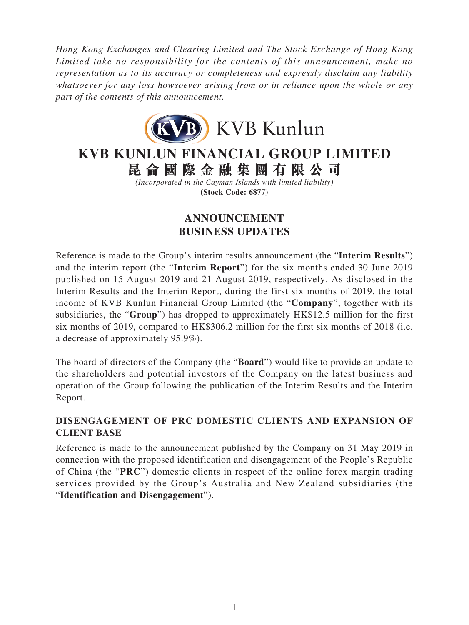*Hong Kong Exchanges and Clearing Limited and The Stock Exchange of Hong Kong Limited take no responsibility for the contents of this announcement, make no representation as to its accuracy or completeness and expressly disclaim any liability whatsoever for any loss howsoever arising from or in reliance upon the whole or any part of the contents of this announcement.*



# **KVB KUNLUN FINANCIAL GROUP LIMITED**

**昆侖國際金融集團有限公司**

*(Incorporated in the Cayman Islands with limited liability)* **(Stock Code: 6877)**

# **ANNOUNCEMENT BUSINESS UPDATES**

Reference is made to the Group's interim results announcement (the "**Interim Results**") and the interim report (the "**Interim Report**") for the six months ended 30 June 2019 published on 15 August 2019 and 21 August 2019, respectively. As disclosed in the Interim Results and the Interim Report, during the first six months of 2019, the total income of KVB Kunlun Financial Group Limited (the "**Company**", together with its subsidiaries, the "**Group**") has dropped to approximately HK\$12.5 million for the first six months of 2019, compared to HK\$306.2 million for the first six months of 2018 (i.e. a decrease of approximately 95.9%).

The board of directors of the Company (the "**Board**") would like to provide an update to the shareholders and potential investors of the Company on the latest business and operation of the Group following the publication of the Interim Results and the Interim Report.

### **DISENGAGEMENT OF PRC DOMESTIC CLIENTS AND EXPANSION OF CLIENT BASE**

Reference is made to the announcement published by the Company on 31 May 2019 in connection with the proposed identification and disengagement of the People's Republic of China (the "**PRC**") domestic clients in respect of the online forex margin trading services provided by the Group's Australia and New Zealand subsidiaries (the "**Identification and Disengagement**").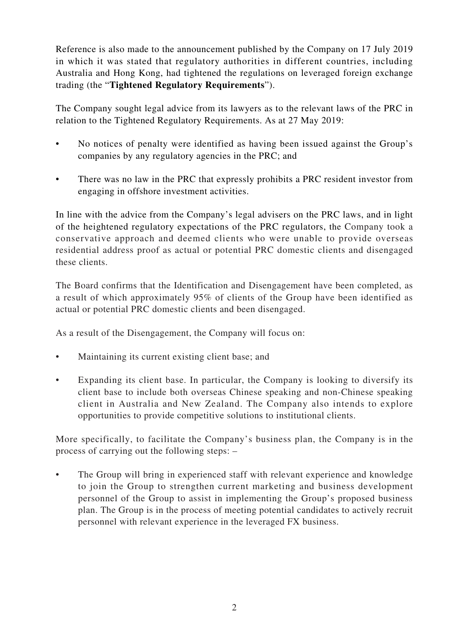Reference is also made to the announcement published by the Company on 17 July 2019 in which it was stated that regulatory authorities in different countries, including Australia and Hong Kong, had tightened the regulations on leveraged foreign exchange trading (the "**Tightened Regulatory Requirements**").

The Company sought legal advice from its lawyers as to the relevant laws of the PRC in relation to the Tightened Regulatory Requirements. As at 27 May 2019:

- No notices of penalty were identified as having been issued against the Group's companies by any regulatory agencies in the PRC; and
- There was no law in the PRC that expressly prohibits a PRC resident investor from engaging in offshore investment activities.

In line with the advice from the Company's legal advisers on the PRC laws, and in light of the heightened regulatory expectations of the PRC regulators, the Company took a conservative approach and deemed clients who were unable to provide overseas residential address proof as actual or potential PRC domestic clients and disengaged these clients.

The Board confirms that the Identification and Disengagement have been completed, as a result of which approximately 95% of clients of the Group have been identified as actual or potential PRC domestic clients and been disengaged.

As a result of the Disengagement, the Company will focus on:

- Maintaining its current existing client base; and
- Expanding its client base. In particular, the Company is looking to diversify its client base to include both overseas Chinese speaking and non-Chinese speaking client in Australia and New Zealand. The Company also intends to explore opportunities to provide competitive solutions to institutional clients.

More specifically, to facilitate the Company's business plan, the Company is in the process of carrying out the following steps: –

The Group will bring in experienced staff with relevant experience and knowledge to join the Group to strengthen current marketing and business development personnel of the Group to assist in implementing the Group's proposed business plan. The Group is in the process of meeting potential candidates to actively recruit personnel with relevant experience in the leveraged FX business.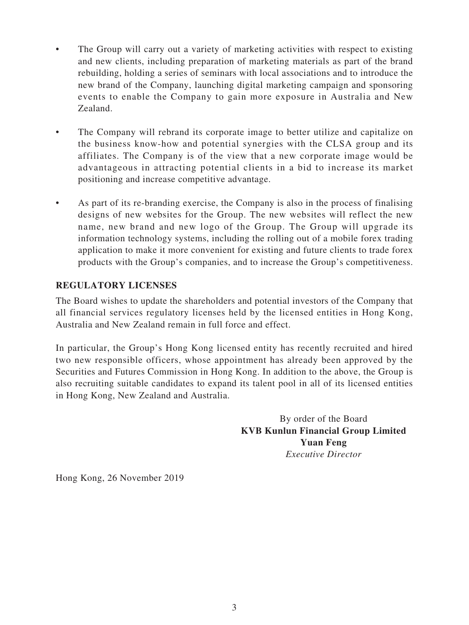- The Group will carry out a variety of marketing activities with respect to existing and new clients, including preparation of marketing materials as part of the brand rebuilding, holding a series of seminars with local associations and to introduce the new brand of the Company, launching digital marketing campaign and sponsoring events to enable the Company to gain more exposure in Australia and New Zealand.
- The Company will rebrand its corporate image to better utilize and capitalize on the business know-how and potential synergies with the CLSA group and its affiliates. The Company is of the view that a new corporate image would be advantageous in attracting potential clients in a bid to increase its market positioning and increase competitive advantage.
- As part of its re-branding exercise, the Company is also in the process of finalising designs of new websites for the Group. The new websites will reflect the new name, new brand and new logo of the Group. The Group will upgrade its information technology systems, including the rolling out of a mobile forex trading application to make it more convenient for existing and future clients to trade forex products with the Group's companies, and to increase the Group's competitiveness.

#### **REGULATORY LICENSES**

The Board wishes to update the shareholders and potential investors of the Company that all financial services regulatory licenses held by the licensed entities in Hong Kong, Australia and New Zealand remain in full force and effect.

In particular, the Group's Hong Kong licensed entity has recently recruited and hired two new responsible officers, whose appointment has already been approved by the Securities and Futures Commission in Hong Kong. In addition to the above, the Group is also recruiting suitable candidates to expand its talent pool in all of its licensed entities in Hong Kong, New Zealand and Australia.

> By order of the Board **KVB Kunlun Financial Group Limited Yuan Feng** *Executive Director*

Hong Kong, 26 November 2019